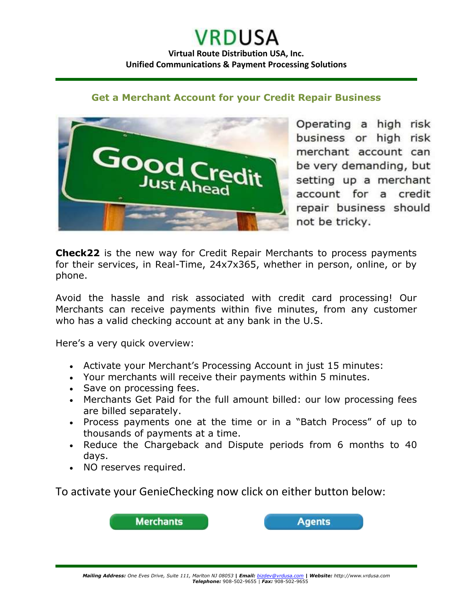## **Get a Merchant Account for your Credit Repair Business**



Operating a high risk business or high risk merchant account can be very demanding, but setting up a merchant account for a credit repair business should not be tricky.

**Check22** is the new way for Credit Repair Merchants to process payments for their services, in Real-Time, 24x7x365, whether in person, online, or by phone.

Avoid the hassle and risk associated with credit card processing! Our Merchants can receive payments within five minutes, from any customer who has a valid checking account at any bank in the U.S.

Here's a very quick overview:

- Activate your Merchant's Processing Account in just 15 minutes:
- Your merchants will receive their payments within 5 minutes.
- Save on processing fees.
- Merchants Get Paid for the full amount billed: our low processing fees are billed separately.
- Process payments one at the time or in a "Batch Process" of up to thousands of payments at a time.
- Reduce the Chargeback and Dispute periods from 6 months to 40 days.
- NO reserves required.

To activate your GenieChecking now click on either button below: